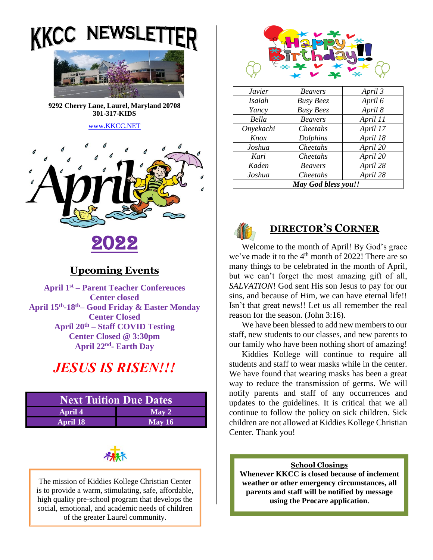



**9292 Cherry Lane, Laurel, Maryland 20708 301-317-KIDS** 

#### [www.KKCC.NET](http://www.kkcc.net/)



# 2022

### **Upcoming Events**

**April 1 st – Parent Teacher Conferences Center closed April 15th -18th– Good Friday & Easter Monday Center Closed April 20th – Staff COVID Testing Center Closed @ 3:30pm April 22nd - Earth Day**

# *JESUS IS RISEN!!!*

| <b>Next Tuition Due Dates</b> |                   |  |
|-------------------------------|-------------------|--|
| <b>April 4</b>                | $\mathbf{May\ }2$ |  |
| <b>April 18</b>               | May $16$          |  |



The mission of Kiddies Kollege Christian Center is to provide a warm, stimulating, safe, affordable, high quality pre-school program that develops the social, emotional, and academic needs of children of the greater Laurel community.



| <i>Javier</i>       | <b>Beavers</b>   | April 3  |
|---------------------|------------------|----------|
| Isaiah              | <b>Busy Beez</b> | April 6  |
| Yancy               | <b>Busy Beez</b> | April 8  |
| Bella               | <b>Beavers</b>   | April 11 |
| Onyekachi           | Cheetahs         | April 17 |
| Knox                | Dolphins         | April 18 |
| Joshua              | Cheetahs         | April 20 |
| Kari                | Cheetahs         | April 20 |
| Kaden               | <b>Beavers</b>   | April 28 |
| Joshua              | Cheetahs         | April 28 |
| May God bless you!! |                  |          |



## **DIRECTOR'S CORNER**

Welcome to the month of April! By God's grace we've made it to the 4<sup>th</sup> month of 2022! There are so many things to be celebrated in the month of April, but we can't forget the most amazing gift of all, *SALVATION*! God sent His son Jesus to pay for our sins, and because of Him, we can have eternal life!! Isn't that great news!! Let us all remember the real reason for the season. (John 3:16).

We have been blessed to add new members to our staff, new students to our classes, and new parents to our family who have been nothing short of amazing!

Kiddies Kollege will continue to require all students and staff to wear masks while in the center. We have found that wearing masks has been a great way to reduce the transmission of germs. We will notify parents and staff of any occurrences and updates to the guidelines. It is critical that we all continue to follow the policy on sick children. Sick children are not allowed at Kiddies Kollege Christian Center. Thank you!

#### **School Closings**

**Whenever KKCC is closed because of inclement weather or other emergency circumstances, all parents and staff will be notified by message using the Procare application.**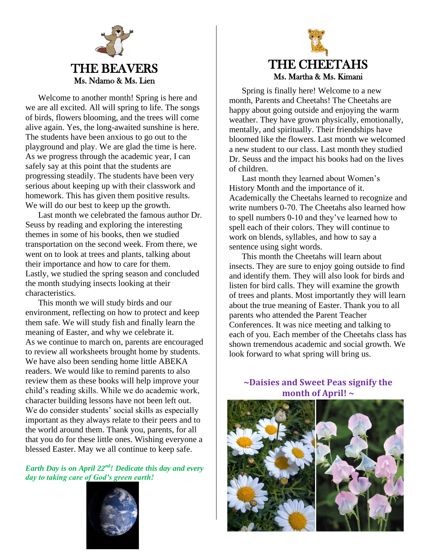

Welcome to another month! Spring is here and we are all excited. All will spring to life. The songs of birds, flowers blooming, and the trees will come alive again. Yes, the long-awaited sunshine is here. The students have been anxious to go out to the playground and play. We are glad the time is here. As we progress through the academic year, I can safely say at this point that the students are progressing steadily. The students have been very serious about keeping up with their classwork and homework. This has given them positive results. We will do our best to keep up the growth.

Last month we celebrated the famous author Dr. Seuss by reading and exploring the interesting themes in some of his books, then we studied transportation on the second week. From there, we went on to look at trees and plants, talking about their importance and how to care for them. Lastly, we studied the spring season and concluded the month studying insects looking at their characteristics.

This month we will study birds and our environment, reflecting on how to protect and keep them safe. We will study fish and finally learn the meaning of Easter, and why we celebrate it. As we continue to march on, parents are encouraged to review all worksheets brought home by students. We have also been sending home little ABEKA readers. We would like to remind parents to also review them as these books will help improve your child's reading skills. While we do academic work, character building lessons have not been left out. We do consider students' social skills as especially important as they always relate to their peers and to the world around them. Thank you, parents, for all that you do for these little ones. Wishing everyone a blessed Easter. May we all continue to keep safe.

*Earth Day is on April 22nd! Dedicate this day and every day to taking care of God's green earth!*





Spring is finally here! Welcome to a new month, Parents and Cheetahs! The Cheetahs are happy about going outside and enjoying the warm weather. They have grown physically, emotionally, mentally, and spiritually. Their friendships have bloomed like the flowers. Last month we welcomed a new student to our class. Last month they studied Dr. Seuss and the impact his books had on the lives of children.

Last month they learned about Women's History Month and the importance of it. Academically the Cheetahs learned to recognize and write numbers 0-70. The Cheetahs also learned how to spell numbers 0-10 and they've learned how to spell each of their colors. They will continue to work on blends, syllables, and how to say a sentence using sight words.

This month the Cheetahs will learn about insects. They are sure to enjoy going outside to find and identify them. They will also look for birds and listen for bird calls. They will examine the growth of trees and plants. Most importantly they will learn about the true meaning of Easter. Thank you to all parents who attended the Parent Teacher Conferences. It was nice meeting and talking to each of you. Each member of the Cheetahs class has shown tremendous academic and social growth. We look forward to what spring will bring us.

**~Daisies and Sweet Peas signify the month of April! ~**



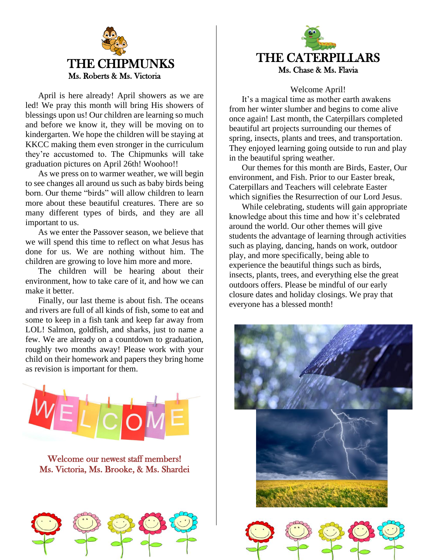

April is here already! April showers as we are led! We pray this month will bring His showers of blessings upon us! Our children are learning so much and before we know it, they will be moving on to kindergarten. We hope the children will be staying at KKCC making them even stronger in the curriculum they're accustomed to. The Chipmunks will take graduation pictures on April 26th! Woohoo!!

As we press on to warmer weather, we will begin to see changes all around us such as baby birds being born. Our theme "birds" will allow children to learn more about these beautiful creatures. There are so many different types of birds, and they are all important to us.

As we enter the Passover season, we believe that we will spend this time to reflect on what Jesus has done for us. We are nothing without him. The children are growing to love him more and more.

The children will be hearing about their environment, how to take care of it, and how we can make it better.

Finally, our last theme is about fish. The oceans and rivers are full of all kinds of fish, some to eat and some to keep in a fish tank and keep far away from LOL! Salmon, goldfish, and sharks, just to name a few. We are already on a countdown to graduation, roughly two months away! Please work with your child on their homework and papers they bring home as revision is important for them.



Welcome our newest staff members! Ms. Victoria, Ms. Brooke, & Ms. Shardei





#### Welcome April!

It's a magical time as mother earth awakens from her winter slumber and begins to come alive once again! Last month, the Caterpillars completed beautiful art projects surrounding our themes of spring, insects, plants and trees, and transportation. They enjoyed learning going outside to run and play in the beautiful spring weather.

Our themes for this month are Birds, Easter, Our environment, and Fish. Prior to our Easter break, Caterpillars and Teachers will celebrate Easter which signifies the Resurrection of our Lord Jesus.

While celebrating, students will gain appropriate knowledge about this time and how it's celebrated around the world. Our other themes will give students the advantage of learning through activities such as playing, dancing, hands on work, outdoor play, and more specifically, being able to experience the beautiful things such as birds, insects, plants, trees, and everything else the great outdoors offers. Please be mindful of our early closure dates and holiday closings. We pray that everyone has a blessed month!

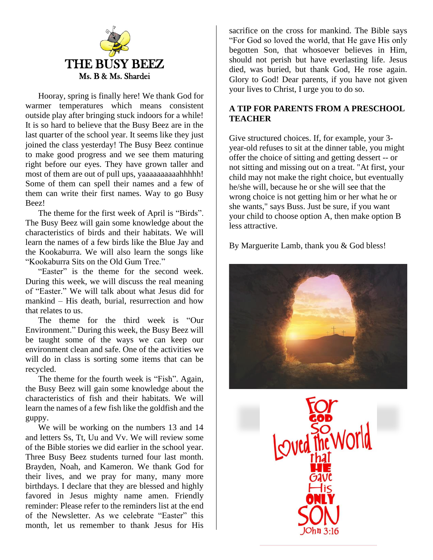

Hooray, spring is finally here! We thank God for warmer temperatures which means consistent outside play after bringing stuck indoors for a while! It is so hard to believe that the Busy Beez are in the last quarter of the school year. It seems like they just joined the class yesterday! The Busy Beez continue to make good progress and we see them maturing right before our eyes. They have grown taller and most of them are out of pull ups, yaaaaaaaaaahhhhh! Some of them can spell their names and a few of them can write their first names. Way to go Busy Beez!

The theme for the first week of April is "Birds". The Busy Beez will gain some knowledge about the characteristics of birds and their habitats. We will learn the names of a few birds like the Blue Jay and the Kookaburra. We will also learn the songs like "Kookaburra Sits on the Old Gum Tree."

"Easter" is the theme for the second week. During this week, we will discuss the real meaning of "Easter." We will talk about what Jesus did for mankind – His death, burial, resurrection and how that relates to us.

The theme for the third week is "Our Environment." During this week, the Busy Beez will be taught some of the ways we can keep our environment clean and safe. One of the activities we will do in class is sorting some items that can be recycled.

The theme for the fourth week is "Fish". Again, the Busy Beez will gain some knowledge about the characteristics of fish and their habitats. We will learn the names of a few fish like the goldfish and the guppy.

We will be working on the numbers 13 and 14 and letters Ss, Tt, Uu and Vv. We will review some of the Bible stories we did earlier in the school year. Three Busy Beez students turned four last month. Brayden, Noah, and Kameron. We thank God for their lives, and we pray for many, many more birthdays. I declare that they are blessed and highly favored in Jesus mighty name amen. Friendly reminder: Please refer to the reminders list at the end of the Newsletter. As we celebrate "Easter" this month, let us remember to thank Jesus for His

sacrifice on the cross for mankind. The Bible says "For God so loved the world, that He gave His only begotten Son, that whosoever believes in Him, should not perish but have everlasting life. Jesus died, was buried, but thank God, He rose again. Glory to God! Dear parents, if you have not given your lives to Christ, I urge you to do so.

### **A TIP FOR PARENTS FROM A PRESCHOOL TEACHER**

Give structured choices. If, for example, your 3 year-old refuses to sit at the dinner table, you might offer the choice of sitting and getting dessert -- or not sitting and missing out on a treat. "At first, your child may not make the right choice, but eventually he/she will, because he or she will see that the wrong choice is not getting him or her what he or she wants," says Buss. Just be sure, if you want your child to choose option A, then make option B less attractive.

By Marguerite Lamb, thank you & God bless!



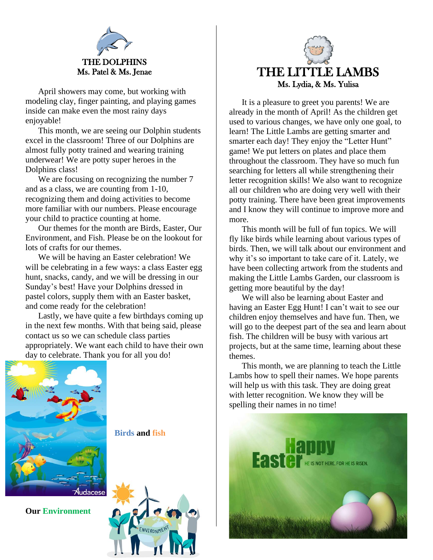

April showers may come, but working with modeling clay, finger painting, and playing games inside can make even the most rainy days enjoyable!

This month, we are seeing our Dolphin students excel in the classroom! Three of our Dolphins are almost fully potty trained and wearing training underwear! We are potty super heroes in the Dolphins class!

We are focusing on recognizing the number 7 and as a class, we are counting from 1-10, recognizing them and doing activities to become more familiar with our numbers. Please encourage your child to practice counting at home.

Our themes for the month are Birds, Easter, Our Environment, and Fish. Please be on the lookout for lots of crafts for our themes.

We will be having an Easter celebration! We will be celebrating in a few ways: a class Easter egg hunt, snacks, candy, and we will be dressing in our Sunday's best! Have your Dolphins dressed in pastel colors, supply them with an Easter basket, and come ready for the celebration!

Lastly, we have quite a few birthdays coming up in the next few months. With that being said, please contact us so we can schedule class parties appropriately. We want each child to have their own day to celebrate. Thank you for all you do!



**Our Environment**

**Birds and fish**





It is a pleasure to greet you parents! We are already in the month of April! As the children get used to various changes, we have only one goal, to learn! The Little Lambs are getting smarter and smarter each day! They enjoy the "Letter Hunt" game! We put letters on plates and place them throughout the classroom. They have so much fun searching for letters all while strengthening their letter recognition skills! We also want to recognize all our children who are doing very well with their potty training. There have been great improvements and I know they will continue to improve more and more.

This month will be full of fun topics. We will fly like birds while learning about various types of birds. Then, we will talk about our environment and why it's so important to take care of it. Lately, we have been collecting artwork from the students and making the Little Lambs Garden, our classroom is getting more beautiful by the day!

We will also be learning about Easter and having an Easter Egg Hunt! I can't wait to see our children enjoy themselves and have fun. Then, we will go to the deepest part of the sea and learn about fish. The children will be busy with various art projects, but at the same time, learning about these themes.

This month, we are planning to teach the Little Lambs how to spell their names. We hope parents will help us with this task. They are doing great with letter recognition. We know they will be spelling their names in no time!